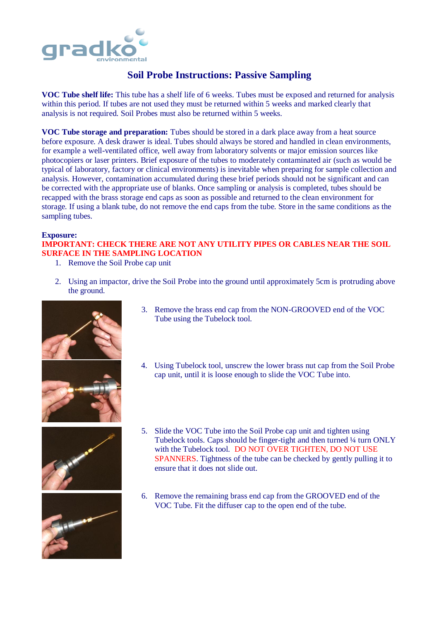

## **Soil Probe Instructions: Passive Sampling**

**VOC Tube shelf life:** This tube has a shelf life of 6 weeks. Tubes must be exposed and returned for analysis within this period. If tubes are not used they must be returned within 5 weeks and marked clearly that analysis is not required. Soil Probes must also be returned within 5 weeks.

**VOC Tube storage and preparation:** Tubes should be stored in a dark place away from a heat source before exposure. A desk drawer is ideal. Tubes should always be stored and handled in clean environments, for example a well-ventilated office, well away from laboratory solvents or major emission sources like photocopiers or laser printers. Brief exposure of the tubes to moderately contaminated air (such as would be typical of laboratory, factory or clinical environments) is inevitable when preparing for sample collection and analysis. However, contamination accumulated during these brief periods should not be significant and can be corrected with the appropriate use of blanks. Once sampling or analysis is completed, tubes should be recapped with the brass storage end caps as soon as possible and returned to the clean environment for storage. If using a blank tube, do not remove the end caps from the tube. Store in the same conditions as the sampling tubes.

## **Exposure:**

## **IMPORTANT: CHECK THERE ARE NOT ANY UTILITY PIPES OR CABLES NEAR THE SOIL SURFACE IN THE SAMPLING LOCATION**

- 1. Remove the Soil Probe cap unit
- 2. Using an impactor, drive the Soil Probe into the ground until approximately 5cm is protruding above the ground.







- 3. Remove the brass end cap from the NON-GROOVED end of the VOC Tube using the Tubelock tool.
- 4. Using Tubelock tool, unscrew the lower brass nut cap from the Soil Probe cap unit, until it is loose enough to slide the VOC Tube into.
- 5. Slide the VOC Tube into the Soil Probe cap unit and tighten using Tubelock tools. Caps should be finger-tight and then turned ¼ turn ONLY with the Tubelock tool. DO NOT OVER TIGHTEN, DO NOT USE SPANNERS. Tightness of the tube can be checked by gently pulling it to ensure that it does not slide out.
- 6. Remove the remaining brass end cap from the GROOVED end of the VOC Tube. Fit the diffuser cap to the open end of the tube.